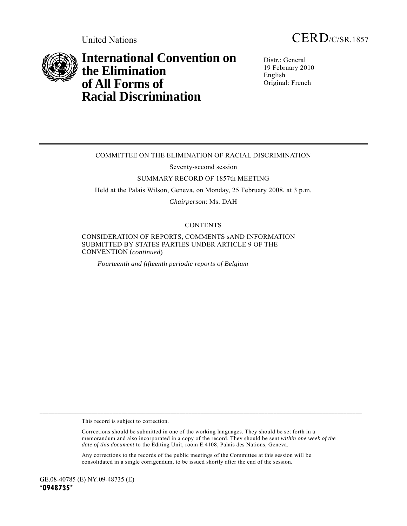



# **International Convention on the Elimination of All Forms of Racial Discrimination**

Distr.: General 19 February 2010 English Original: French

# COMMITTEE ON THE ELIMINATION OF RACIAL DISCRIMINATION

Seventy-second session

#### SUMMARY RECORD OF 1857th MEETING

Held at the Palais Wilson, Geneva, on Monday, 25 February 2008, at 3 p.m.

*Chairperson*: Ms. DAH

### **CONTENTS**

CONSIDERATION OF REPORTS, COMMENTS sAND INFORMATION SUBMITTED BY STATES PARTIES UNDER ARTICLE 9 OF THE CONVENTION (*continued*)

*Fourteenth and fifteenth periodic reports of Belgium* 

This record is subject to correction.

 Corrections should be submitted in one of the working languages. They should be set forth in a memorandum and also incorporated in a copy of the record. They should be sent *within one week of the date of this document* to the Editing Unit, room E.4108, Palais des Nations, Geneva.

 Any corrections to the records of the public meetings of the Committee at this session will be consolidated in a single corrigendum, to be issued shortly after the end of the session.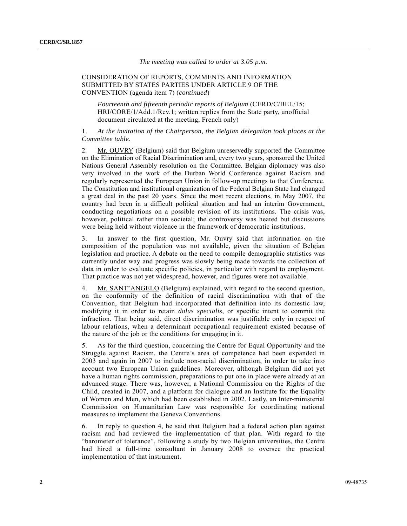## *The meeting was called to order at 3.05 p.m.*

#### CONSIDERATION OF REPORTS, COMMENTS AND INFORMATION SUBMITTED BY STATES PARTIES UNDER ARTICLE 9 OF THE CONVENTION (agenda item 7) (*continued*)

*Fourteenth and fifteenth periodic reports of Belgium* (CERD/C/BEL/15; HRI/CORE/1/Add.1/Rev.1; written replies from the State party, unofficial document circulated at the meeting, French only)

1. *At the invitation of the Chairperson, the Belgian delegation took places at the Committee table*.

2. Mr. OUVRY (Belgium) said that Belgium unreservedly supported the Committee on the Elimination of Racial Discrimination and, every two years, sponsored the United Nations General Assembly resolution on the Committee. Belgian diplomacy was also very involved in the work of the Durban World Conference against Racism and regularly represented the European Union in follow-up meetings to that Conference. The Constitution and institutional organization of the Federal Belgian State had changed a great deal in the past 20 years. Since the most recent elections, in May 2007, the country had been in a difficult political situation and had an interim Government, conducting negotiations on a possible revision of its institutions. The crisis was, however, political rather than societal; the controversy was heated but discussions were being held without violence in the framework of democratic institutions.

3. In answer to the first question, Mr. Ouvry said that information on the composition of the population was not available, given the situation of Belgian legislation and practice. A debate on the need to compile demographic statistics was currently under way and progress was slowly being made towards the collection of data in order to evaluate specific policies, in particular with regard to employment. That practice was not yet widespread, however, and figures were not available.

4. Mr. SANT'ANGELO (Belgium) explained, with regard to the second question, on the conformity of the definition of racial discrimination with that of the Convention, that Belgium had incorporated that definition into its domestic law, modifying it in order to retain *dolus specialis*, or specific intent to commit the infraction. That being said, direct discrimination was justifiable only in respect of labour relations, when a determinant occupational requirement existed because of the nature of the job or the conditions for engaging in it.

5. As for the third question, concerning the Centre for Equal Opportunity and the Struggle against Racism, the Centre's area of competence had been expanded in 2003 and again in 2007 to include non-racial discrimination, in order to take into account two European Union guidelines. Moreover, although Belgium did not yet have a human rights commission, preparations to put one in place were already at an advanced stage. There was, however, a National Commission on the Rights of the Child, created in 2007, and a platform for dialogue and an Institute for the Equality of Women and Men, which had been established in 2002. Lastly, an Inter-ministerial Commission on Humanitarian Law was responsible for coordinating national measures to implement the Geneva Conventions.

6. In reply to question 4, he said that Belgium had a federal action plan against racism and had reviewed the implementation of that plan. With regard to the "barometer of tolerance", following a study by two Belgian universities, the Centre had hired a full-time consultant in January 2008 to oversee the practical implementation of that instrument.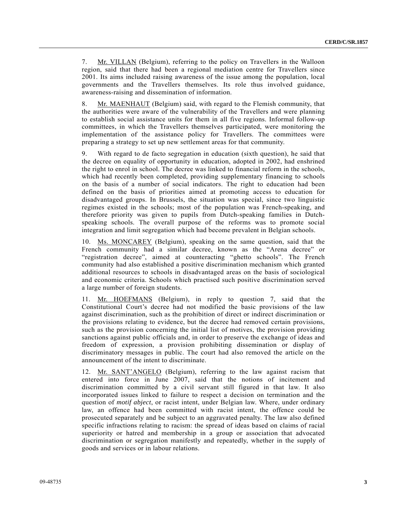7. Mr. VILLAN (Belgium), referring to the policy on Travellers in the Walloon region, said that there had been a regional mediation centre for Travellers since 2001. Its aims included raising awareness of the issue among the population, local governments and the Travellers themselves. Its role thus involved guidance, awareness-raising and dissemination of information.

8. Mr. MAENHAUT (Belgium) said, with regard to the Flemish community, that the authorities were aware of the vulnerability of the Travellers and were planning to establish social assistance units for them in all five regions. Informal follow-up committees, in which the Travellers themselves participated, were monitoring the implementation of the assistance policy for Travellers. The committees were preparing a strategy to set up new settlement areas for that community.

9. With regard to de facto segregation in education (sixth question), he said that the decree on equality of opportunity in education, adopted in 2002, had enshrined the right to enrol in school. The decree was linked to financial reform in the schools, which had recently been completed, providing supplementary financing to schools on the basis of a number of social indicators. The right to education had been defined on the basis of priorities aimed at promoting access to education for disadvantaged groups. In Brussels, the situation was special, since two linguistic regimes existed in the schools; most of the population was French-speaking, and therefore priority was given to pupils from Dutch-speaking families in Dutchspeaking schools. The overall purpose of the reforms was to promote social integration and limit segregation which had become prevalent in Belgian schools.

10. Ms. MONCAREY (Belgium), speaking on the same question, said that the French community had a similar decree, known as the "Arena decree" or "registration decree", aimed at counteracting "ghetto schools". The French community had also established a positive discrimination mechanism which granted additional resources to schools in disadvantaged areas on the basis of sociological and economic criteria. Schools which practised such positive discrimination served a large number of foreign students.

11. Mr. HOEFMANS (Belgium), in reply to question 7, said that the Constitutional Court's decree had not modified the basic provisions of the law against discrimination, such as the prohibition of direct or indirect discrimination or the provisions relating to evidence, but the decree had removed certain provisions, such as the provision concerning the initial list of motives, the provision providing sanctions against public officials and, in order to preserve the exchange of ideas and freedom of expression, a provision prohibiting dissemination or display of discriminatory messages in public. The court had also removed the article on the announcement of the intent to discriminate.

12. Mr. SANT'ANGELO (Belgium), referring to the law against racism that entered into force in June 2007, said that the notions of incitement and discrimination committed by a civil servant still figured in that law. It also incorporated issues linked to failure to respect a decision on termination and the question of *motif abject*, or racist intent, under Belgian law. Where, under ordinary law, an offence had been committed with racist intent, the offence could be prosecuted separately and be subject to an aggravated penalty. The law also defined specific infractions relating to racism: the spread of ideas based on claims of racial superiority or hatred and membership in a group or association that advocated discrimination or segregation manifestly and repeatedly, whether in the supply of goods and services or in labour relations.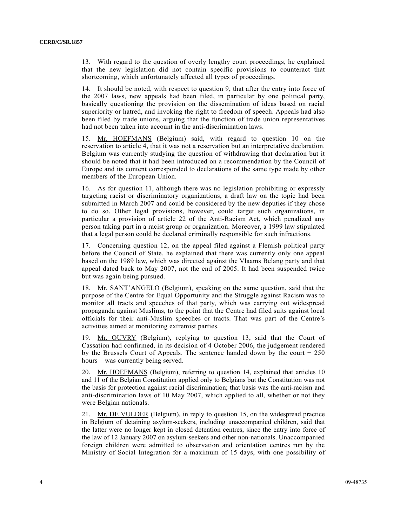13. With regard to the question of overly lengthy court proceedings, he explained that the new legislation did not contain specific provisions to counteract that shortcoming, which unfortunately affected all types of proceedings.

14. It should be noted, with respect to question 9, that after the entry into force of the 2007 laws, new appeals had been filed, in particular by one political party, basically questioning the provision on the dissemination of ideas based on racial superiority or hatred, and invoking the right to freedom of speech. Appeals had also been filed by trade unions, arguing that the function of trade union representatives had not been taken into account in the anti-discrimination laws.

15. Mr. HOEFMANS (Belgium) said, with regard to question 10 on the reservation to article 4, that it was not a reservation but an interpretative declaration. Belgium was currently studying the question of withdrawing that declaration but it should be noted that it had been introduced on a recommendation by the Council of Europe and its content corresponded to declarations of the same type made by other members of the European Union.

16. As for question 11, although there was no legislation prohibiting or expressly targeting racist or discriminatory organizations, a draft law on the topic had been submitted in March 2007 and could be considered by the new deputies if they chose to do so. Other legal provisions, however, could target such organizations, in particular a provision of article 22 of the Anti-Racism Act, which penalized any person taking part in a racist group or organization. Moreover, a 1999 law stipulated that a legal person could be declared criminally responsible for such infractions.

17. Concerning question 12, on the appeal filed against a Flemish political party before the Council of State, he explained that there was currently only one appeal based on the 1989 law, which was directed against the Vlaams Belang party and that appeal dated back to May 2007, not the end of 2005. It had been suspended twice but was again being pursued.

18. Mr. SANT'ANGELO (Belgium), speaking on the same question, said that the purpose of the Centre for Equal Opportunity and the Struggle against Racism was to monitor all tracts and speeches of that party, which was carrying out widespread propaganda against Muslims, to the point that the Centre had filed suits against local officials for their anti-Muslim speeches or tracts. That was part of the Centre's activities aimed at monitoring extremist parties.

19. Mr. OUVRY (Belgium), replying to question 13, said that the Court of Cassation had confirmed, in its decision of 4 October 2006, the judgement rendered by the Brussels Court of Appeals. The sentence handed down by the court − 250 hours – was currently being served.

20. Mr. HOEFMANS (Belgium), referring to question 14, explained that articles 10 and 11 of the Belgian Constitution applied only to Belgians but the Constitution was not the basis for protection against racial discrimination; that basis was the anti-racism and anti-discrimination laws of 10 May 2007, which applied to all, whether or not they were Belgian nationals.

21. Mr. DE VULDER (Belgium), in reply to question 15, on the widespread practice in Belgium of detaining asylum-seekers, including unaccompanied children, said that the latter were no longer kept in closed detention centres, since the entry into force of the law of 12 January 2007 on asylum-seekers and other non-nationals. Unaccompanied foreign children were admitted to observation and orientation centres run by the Ministry of Social Integration for a maximum of 15 days, with one possibility of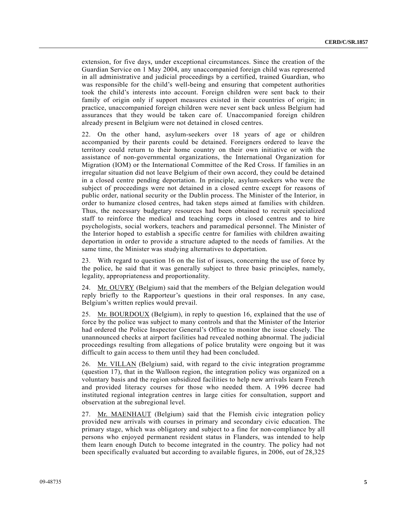extension, for five days, under exceptional circumstances. Since the creation of the Guardian Service on 1 May 2004, any unaccompanied foreign child was represented in all administrative and judicial proceedings by a certified, trained Guardian, who was responsible for the child's well-being and ensuring that competent authorities took the child's interests into account. Foreign children were sent back to their family of origin only if support measures existed in their countries of origin; in practice, unaccompanied foreign children were never sent back unless Belgium had assurances that they would be taken care of. Unaccompanied foreign children already present in Belgium were not detained in closed centres.

22. On the other hand, asylum-seekers over 18 years of age or children accompanied by their parents could be detained. Foreigners ordered to leave the territory could return to their home country on their own initiative or with the assistance of non-governmental organizations, the International Organization for Migration (IOM) or the International Committee of the Red Cross. If families in an irregular situation did not leave Belgium of their own accord, they could be detained in a closed centre pending deportation. In principle, asylum-seekers who were the subject of proceedings were not detained in a closed centre except for reasons of public order, national security or the Dublin process. The Minister of the Interior, in order to humanize closed centres, had taken steps aimed at families with children. Thus, the necessary budgetary resources had been obtained to recruit specialized staff to reinforce the medical and teaching corps in closed centres and to hire psychologists, social workers, teachers and paramedical personnel. The Minister of the Interior hoped to establish a specific centre for families with children awaiting deportation in order to provide a structure adapted to the needs of families. At the same time, the Minister was studying alternatives to deportation.

23. With regard to question 16 on the list of issues, concerning the use of force by the police, he said that it was generally subject to three basic principles, namely, legality, appropriateness and proportionality.

24. Mr. OUVRY (Belgium) said that the members of the Belgian delegation would reply briefly to the Rapporteur's questions in their oral responses. In any case, Belgium's written replies would prevail.

25. Mr. BOURDOUX (Belgium), in reply to question 16, explained that the use of force by the police was subject to many controls and that the Minister of the Interior had ordered the Police Inspector General's Office to monitor the issue closely. The unannounced checks at airport facilities had revealed nothing abnormal. The judicial proceedings resulting from allegations of police brutality were ongoing but it was difficult to gain access to them until they had been concluded.

26. Mr. VILLAN (Belgium) said, with regard to the civic integration programme (question 17), that in the Walloon region, the integration policy was organized on a voluntary basis and the region subsidized facilities to help new arrivals learn French and provided literacy courses for those who needed them. A 1996 decree had instituted regional integration centres in large cities for consultation, support and observation at the subregional level.

27. Mr. MAENHAUT (Belgium) said that the Flemish civic integration policy provided new arrivals with courses in primary and secondary civic education. The primary stage, which was obligatory and subject to a fine for non-compliance by all persons who enjoyed permanent resident status in Flanders, was intended to help them learn enough Dutch to become integrated in the country. The policy had not been specifically evaluated but according to available figures, in 2006, out of 28,325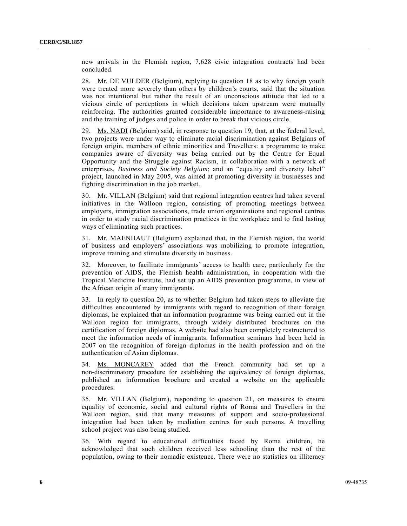new arrivals in the Flemish region, 7,628 civic integration contracts had been concluded.

28. Mr. DE VULDER (Belgium), replying to question 18 as to why foreign youth were treated more severely than others by children's courts, said that the situation was not intentional but rather the result of an unconscious attitude that led to a vicious circle of perceptions in which decisions taken upstream were mutually reinforcing. The authorities granted considerable importance to awareness-raising and the training of judges and police in order to break that vicious circle.

29. Ms. NADI (Belgium) said, in response to question 19, that, at the federal level, two projects were under way to eliminate racial discrimination against Belgians of foreign origin, members of ethnic minorities and Travellers: a programme to make companies aware of diversity was being carried out by the Centre for Equal Opportunity and the Struggle against Racism, in collaboration with a network of enterprises, *Business and Society Belgium*; and an "equality and diversity label" project, launched in May 2005, was aimed at promoting diversity in businesses and fighting discrimination in the job market.

30. Mr. VILLAN (Belgium) said that regional integration centres had taken several initiatives in the Walloon region, consisting of promoting meetings between employers, immigration associations, trade union organizations and regional centres in order to study racial discrimination practices in the workplace and to find lasting ways of eliminating such practices.

31. Mr. MAENHAUT (Belgium) explained that, in the Flemish region, the world of business and employers' associations was mobilizing to promote integration, improve training and stimulate diversity in business.

32. Moreover, to facilitate immigrants' access to health care, particularly for the prevention of AIDS, the Flemish health administration, in cooperation with the Tropical Medicine Institute, had set up an AIDS prevention programme, in view of the African origin of many immigrants.

33. In reply to question 20, as to whether Belgium had taken steps to alleviate the difficulties encountered by immigrants with regard to recognition of their foreign diplomas, he explained that an information programme was being carried out in the Walloon region for immigrants, through widely distributed brochures on the certification of foreign diplomas. A website had also been completely restructured to meet the information needs of immigrants. Information seminars had been held in 2007 on the recognition of foreign diplomas in the health profession and on the authentication of Asian diplomas.

34. Ms. MONCAREY added that the French community had set up a non-discriminatory procedure for establishing the equivalency of foreign diplomas, published an information brochure and created a website on the applicable procedures.

35. Mr. VILLAN (Belgium), responding to question 21, on measures to ensure equality of economic, social and cultural rights of Roma and Travellers in the Walloon region, said that many measures of support and socio-professional integration had been taken by mediation centres for such persons. A travelling school project was also being studied.

36. With regard to educational difficulties faced by Roma children, he acknowledged that such children received less schooling than the rest of the population, owing to their nomadic existence. There were no statistics on illiteracy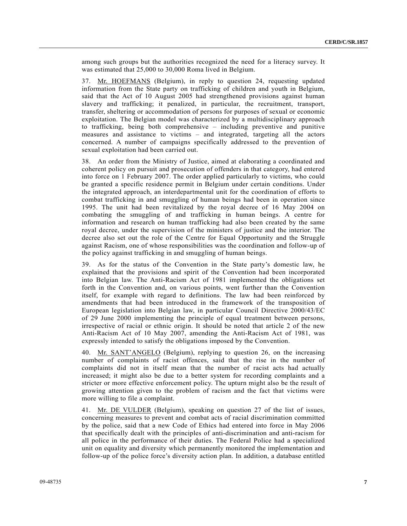among such groups but the authorities recognized the need for a literacy survey. It was estimated that 25,000 to 30,000 Roma lived in Belgium.

37. Mr. HOEFMANS (Belgium), in reply to question 24, requesting updated information from the State party on trafficking of children and youth in Belgium, said that the Act of 10 August 2005 had strengthened provisions against human slavery and trafficking; it penalized, in particular, the recruitment, transport, transfer, sheltering or accommodation of persons for purposes of sexual or economic exploitation. The Belgian model was characterized by a multidisciplinary approach to trafficking, being both comprehensive – including preventive and punitive measures and assistance to victims – and integrated, targeting all the actors concerned. A number of campaigns specifically addressed to the prevention of sexual exploitation had been carried out.

38. An order from the Ministry of Justice, aimed at elaborating a coordinated and coherent policy on pursuit and prosecution of offenders in that category, had entered into force on 1 February 2007. The order applied particularly to victims, who could be granted a specific residence permit in Belgium under certain conditions. Under the integrated approach, an interdepartmental unit for the coordination of efforts to combat trafficking in and smuggling of human beings had been in operation since 1995. The unit had been revitalized by the royal decree of 16 May 2004 on combating the smuggling of and trafficking in human beings. A centre for information and research on human trafficking had also been created by the same royal decree, under the supervision of the ministers of justice and the interior. The decree also set out the role of the Centre for Equal Opportunity and the Struggle against Racism, one of whose responsibilities was the coordination and follow-up of the policy against trafficking in and smuggling of human beings.

39. As for the status of the Convention in the State party's domestic law, he explained that the provisions and spirit of the Convention had been incorporated into Belgian law. The Anti-Racism Act of 1981 implemented the obligations set forth in the Convention and, on various points, went further than the Convention itself, for example with regard to definitions. The law had been reinforced by amendments that had been introduced in the framework of the transposition of European legislation into Belgian law, in particular Council Directive 2000/43/EC of 29 June 2000 implementing the principle of equal treatment between persons, irrespective of racial or ethnic origin. It should be noted that article 2 of the new Anti-Racism Act of 10 May 2007, amending the Anti-Racism Act of 1981, was expressly intended to satisfy the obligations imposed by the Convention.

40. Mr. SANT'ANGELO (Belgium), replying to question 26, on the increasing number of complaints of racist offences, said that the rise in the number of complaints did not in itself mean that the number of racist acts had actually increased; it might also be due to a better system for recording complaints and a stricter or more effective enforcement policy. The upturn might also be the result of growing attention given to the problem of racism and the fact that victims were more willing to file a complaint.

41. Mr. DE VULDER (Belgium), speaking on question 27 of the list of issues, concerning measures to prevent and combat acts of racial discrimination committed by the police, said that a new Code of Ethics had entered into force in May 2006 that specifically dealt with the principles of anti-discrimination and anti-racism for all police in the performance of their duties. The Federal Police had a specialized unit on equality and diversity which permanently monitored the implementation and follow-up of the police force's diversity action plan. In addition, a database entitled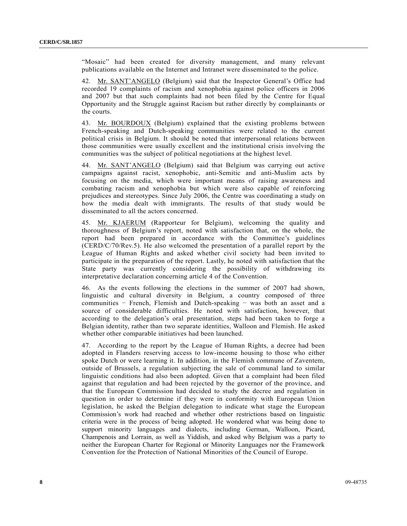"Mosaic" had been created for diversity management, and many relevant publications available on the Internet and Intranet were disseminated to the police.

42. Mr. SANT'ANGELO (Belgium) said that the Inspector General's Office had recorded 19 complaints of racism and xenophobia against police officers in 2006 and 2007 but that such complaints had not been filed by the Centre for Equal Opportunity and the Struggle against Racism but rather directly by complainants or the courts.

43. Mr. BOURDOUX (Belgium) explained that the existing problems between French-speaking and Dutch-speaking communities were related to the current political crisis in Belgium. It should be noted that interpersonal relations between those communities were usually excellent and the institutional crisis involving the communities was the subject of political negotiations at the highest level.

44. Mr. SANT'ANGELO (Belgium) said that Belgium was carrying out active campaigns against racist, xenophobic, anti-Semitic and anti-Muslim acts by focusing on the media, which were important means of raising awareness and combating racism and xenophobia but which were also capable of reinforcing prejudices and stereotypes. Since July 2006, the Centre was coordinating a study on how the media dealt with immigrants. The results of that study would be disseminated to all the actors concerned.

45. Mr. KJAERUM (Rapporteur for Belgium), welcoming the quality and thoroughness of Belgium's report, noted with satisfaction that, on the whole, the report had been prepared in accordance with the Committee's guidelines (CERD/C/70/Rev.5). He also welcomed the presentation of a parallel report by the League of Human Rights and asked whether civil society had been invited to participate in the preparation of the report. Lastly, he noted with satisfaction that the State party was currently considering the possibility of withdrawing its interpretative declaration concerning article 4 of the Convention.

46. As the events following the elections in the summer of 2007 had shown, linguistic and cultural diversity in Belgium, a country composed of three communities − French, Flemish and Dutch-speaking − was both an asset and a source of considerable difficulties. He noted with satisfaction, however, that according to the delegation's oral presentation, steps had been taken to forge a Belgian identity, rather than two separate identities, Walloon and Flemish. He asked whether other comparable initiatives had been launched.

47. According to the report by the League of Human Rights, a decree had been adopted in Flanders reserving access to low-income housing to those who either spoke Dutch or were learning it. In addition, in the Flemish commune of Zaventem, outside of Brussels, a regulation subjecting the sale of communal land to similar linguistic conditions had also been adopted. Given that a complaint had been filed against that regulation and had been rejected by the governor of the province, and that the European Commission had decided to study the decree and regulation in question in order to determine if they were in conformity with European Union legislation, he asked the Belgian delegation to indicate what stage the European Commission's work had reached and whether other restrictions based on linguistic criteria were in the process of being adopted. He wondered what was being done to support minority languages and dialects, including German, Walloon, Picard, Champenois and Lorrain, as well as Yiddish, and asked why Belgium was a party to neither the European Charter for Regional or Minority Languages nor the Framework Convention for the Protection of National Minorities of the Council of Europe.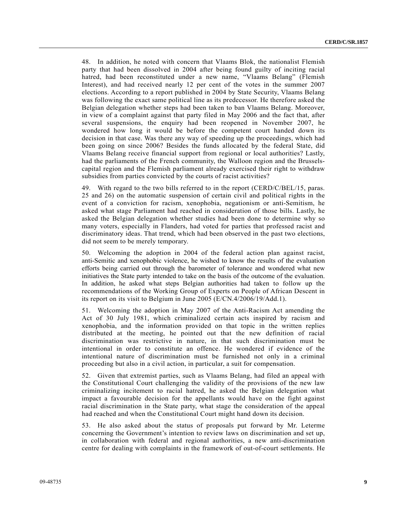48. In addition, he noted with concern that Vlaams Blok, the nationalist Flemish party that had been dissolved in 2004 after being found guilty of inciting racial hatred, had been reconstituted under a new name, "Vlaams Belang" (Flemish Interest), and had received nearly 12 per cent of the votes in the summer 2007 elections. According to a report published in 2004 by State Security, Vlaams Belang was following the exact same political line as its predecessor. He therefore asked the Belgian delegation whether steps had been taken to ban Vlaams Belang. Moreover, in view of a complaint against that party filed in May 2006 and the fact that, after several suspensions, the enquiry had been reopened in November 2007, he wondered how long it would be before the competent court handed down its decision in that case. Was there any way of speeding up the proceedings, which had been going on since 2006? Besides the funds allocated by the federal State, did Vlaams Belang receive financial support from regional or local authorities? Lastly, had the parliaments of the French community, the Walloon region and the Brusselscapital region and the Flemish parliament already exercised their right to withdraw subsidies from parties convicted by the courts of racist activities?

49. With regard to the two bills referred to in the report (CERD/C/BEL/15, paras. 25 and 26) on the automatic suspension of certain civil and political rights in the event of a conviction for racism, xenophobia, negationism or anti-Semitism, he asked what stage Parliament had reached in consideration of those bills. Lastly, he asked the Belgian delegation whether studies had been done to determine why so many voters, especially in Flanders, had voted for parties that professed racist and discriminatory ideas. That trend, which had been observed in the past two elections, did not seem to be merely temporary.

50. Welcoming the adoption in 2004 of the federal action plan against racist, anti-Semitic and xenophobic violence, he wished to know the results of the evaluation efforts being carried out through the barometer of tolerance and wondered what new initiatives the State party intended to take on the basis of the outcome of the evaluation. In addition, he asked what steps Belgian authorities had taken to follow up the recommendations of the Working Group of Experts on People of African Descent in its report on its visit to Belgium in June 2005 (E/CN.4/2006/19/Add.1).

51. Welcoming the adoption in May 2007 of the Anti-Racism Act amending the Act of 30 July 1981, which criminalized certain acts inspired by racism and xenophobia, and the information provided on that topic in the written replies distributed at the meeting, he pointed out that the new definition of racial discrimination was restrictive in nature, in that such discrimination must be intentional in order to constitute an offence. He wondered if evidence of the intentional nature of discrimination must be furnished not only in a criminal proceeding but also in a civil action, in particular, a suit for compensation.

52. Given that extremist parties, such as Vlaams Belang, had filed an appeal with the Constitutional Court challenging the validity of the provisions of the new law criminalizing incitement to racial hatred, he asked the Belgian delegation what impact a favourable decision for the appellants would have on the fight against racial discrimination in the State party, what stage the consideration of the appeal had reached and when the Constitutional Court might hand down its decision.

53. He also asked about the status of proposals put forward by Mr. Leterme concerning the Government's intention to review laws on discrimination and set up, in collaboration with federal and regional authorities, a new anti-discrimination centre for dealing with complaints in the framework of out-of-court settlements. He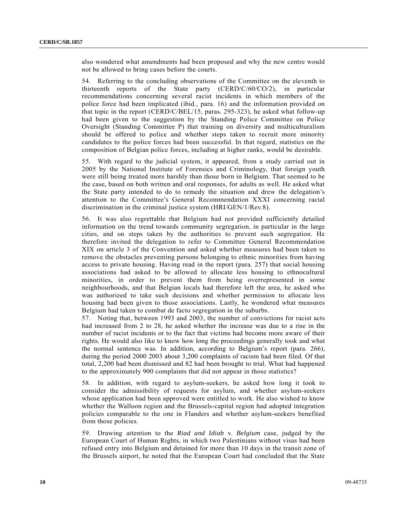also wondered what amendments had been proposed and why the new centre would not be allowed to bring cases before the courts.

54. Referring to the concluding observations of the Committee on the eleventh to thirteenth reports of the State party (CERD/C/60/CO/2), in particular recommendations concerning several racist incidents in which members of the police force had been implicated (ibid., para. 16) and the information provided on that topic in the report (CERD/C/BEL/15, paras. 295-323), he asked what follow-up had been given to the suggestion by the Standing Police Committee on Police Oversight (Standing Committee P) that training on diversity and multiculturalism should be offered to police and whether steps taken to recruit more minority candidates to the police forces had been successful. In that regard, statistics on the composition of Belgian police forces, including at higher ranks, would be desirable.

55. With regard to the judicial system, it appeared, from a study carried out in 2005 by the National Institute of Forensics and Criminology, that foreign youth were still being treated more harshly than those born in Belgium. That seemed to be the case, based on both written and oral responses, for adults as well. He asked what the State party intended to do to remedy the situation and drew the delegation's attention to the Committee's General Recommendation XXXI concerning racial discrimination in the criminal justice system (HRI/GEN/1/Rev.8).

56. It was also regrettable that Belgium had not provided sufficiently detailed information on the trend towards community segregation, in particular in the large cities, and on steps taken by the authorities to prevent such segregation. He therefore invited the delegation to refer to Committee General Recommendation XIX on article 3 of the Convention and asked whether measures had been taken to remove the obstacles preventing persons belonging to ethnic minorities from having access to private housing. Having read in the report (para. 257) that social housing associations had asked to be allowed to allocate less housing to ethnocultural minorities, in order to prevent them from being overrepresented in some neighbourhoods, and that Belgian locals had therefore left the area, he asked who was authorized to take such decisions and whether permission to allocate less housing had been given to those associations. Lastly, he wondered what measures Belgium had taken to combat de facto segregation in the suburbs.

57. Noting that, between 1993 and 2003, the number of convictions for racist acts had increased from 2 to 28, he asked whether the increase was due to a rise in the number of racist incidents or to the fact that victims had become more aware of their rights. He would also like to know how long the proceedings generally took and what the normal sentence was. In addition, according to Belgium's report (para. 266), during the period 2000 2003 about 3,200 complaints of racism had been filed. Of that total, 2,200 had been dismissed and 82 had been brought to trial. What had happened to the approximately 900 complaints that did not appear in those statistics?

58. In addition, with regard to asylum-seekers, he asked how long it took to consider the admissibility of requests for asylum, and whether asylum-seekers whose application had been approved were entitled to work. He also wished to know whether the Walloon region and the Brussels-capital region had adopted integration policies comparable to the one in Flanders and whether asylum-seekers benefited from those policies.

59. Drawing attention to the *Riad and Idiab* v. *Belgium* case, judged by the European Court of Human Rights, in which two Palestinians without visas had been refused entry into Belgium and detained for more than 10 days in the transit zone of the Brussels airport, he noted that the European Court had concluded that the State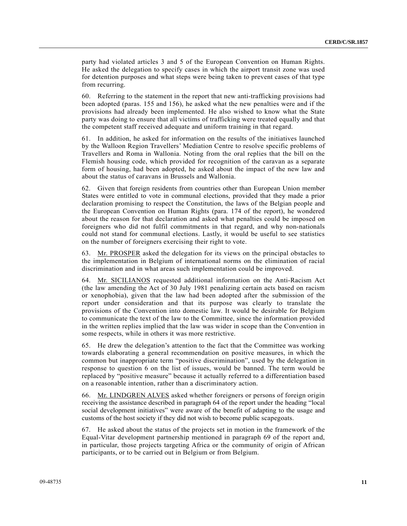party had violated articles 3 and 5 of the European Convention on Human Rights. He asked the delegation to specify cases in which the airport transit zone was used for detention purposes and what steps were being taken to prevent cases of that type from recurring.

60. Referring to the statement in the report that new anti-trafficking provisions had been adopted (paras. 155 and 156), he asked what the new penalties were and if the provisions had already been implemented. He also wished to know what the State party was doing to ensure that all victims of trafficking were treated equally and that the competent staff received adequate and uniform training in that regard.

61. In addition, he asked for information on the results of the initiatives launched by the Walloon Region Travellers' Mediation Centre to resolve specific problems of Travellers and Roma in Wallonia. Noting from the oral replies that the bill on the Flemish housing code, which provided for recognition of the caravan as a separate form of housing, had been adopted, he asked about the impact of the new law and about the status of caravans in Brussels and Wallonia.

62. Given that foreign residents from countries other than European Union member States were entitled to vote in communal elections, provided that they made a prior declaration promising to respect the Constitution, the laws of the Belgian people and the European Convention on Human Rights (para. 174 of the report), he wondered about the reason for that declaration and asked what penalties could be imposed on foreigners who did not fulfil commitments in that regard, and why non-nationals could not stand for communal elections. Lastly, it would be useful to see statistics on the number of foreigners exercising their right to vote.

63. Mr. PROSPER asked the delegation for its views on the principal obstacles to the implementation in Belgium of international norms on the elimination of racial discrimination and in what areas such implementation could be improved.

64. Mr. SICILIANOS requested additional information on the Anti-Racism Act (the law amending the Act of 30 July 1981 penalizing certain acts based on racism or xenophobia), given that the law had been adopted after the submission of the report under consideration and that its purpose was clearly to translate the provisions of the Convention into domestic law. It would be desirable for Belgium to communicate the text of the law to the Committee, since the information provided in the written replies implied that the law was wider in scope than the Convention in some respects, while in others it was more restrictive.

65. He drew the delegation's attention to the fact that the Committee was working towards elaborating a general recommendation on positive measures, in which the common but inappropriate term "positive discrimination", used by the delegation in response to question 6 on the list of issues, would be banned. The term would be replaced by "positive measure" because it actually referred to a differentiation based on a reasonable intention, rather than a discriminatory action.

66. Mr. LINDGREN ALVES asked whether foreigners or persons of foreign origin receiving the assistance described in paragraph 64 of the report under the heading "local social development initiatives" were aware of the benefit of adapting to the usage and customs of the host society if they did not wish to become public scapegoats.

67. He asked about the status of the projects set in motion in the framework of the Equal-Vitar development partnership mentioned in paragraph 69 of the report and, in particular, those projects targeting Africa or the community of origin of African participants, or to be carried out in Belgium or from Belgium.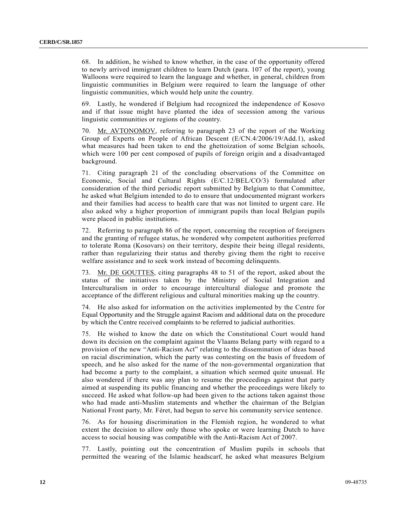68. In addition, he wished to know whether, in the case of the opportunity offered to newly arrived immigrant children to learn Dutch (para. 107 of the report), young Walloons were required to learn the language and whether, in general, children from linguistic communities in Belgium were required to learn the language of other linguistic communities, which would help unite the country.

69. Lastly, he wondered if Belgium had recognized the independence of Kosovo and if that issue might have planted the idea of secession among the various linguistic communities or regions of the country.

70. Mr. AVTONOMOV, referring to paragraph 23 of the report of the Working Group of Experts on People of African Descent (E/CN.4/2006/19/Add.1), asked what measures had been taken to end the ghettoization of some Belgian schools, which were 100 per cent composed of pupils of foreign origin and a disadvantaged background.

71. Citing paragraph 21 of the concluding observations of the Committee on Economic, Social and Cultural Rights (E/C.12/BEL/CO/3) formulated after consideration of the third periodic report submitted by Belgium to that Committee, he asked what Belgium intended to do to ensure that undocumented migrant workers and their families had access to health care that was not limited to urgent care. He also asked why a higher proportion of immigrant pupils than local Belgian pupils were placed in public institutions.

72. Referring to paragraph 86 of the report, concerning the reception of foreigners and the granting of refugee status, he wondered why competent authorities preferred to tolerate Roma (Kosovars) on their territory, despite their being illegal residents, rather than regularizing their status and thereby giving them the right to receive welfare assistance and to seek work instead of becoming delinquents.

73. Mr. DE GOUTTES, citing paragraphs 48 to 51 of the report, asked about the status of the initiatives taken by the Ministry of Social Integration and Interculturalism in order to encourage intercultural dialogue and promote the acceptance of the different religious and cultural minorities making up the country.

74. He also asked for information on the activities implemented by the Centre for Equal Opportunity and the Struggle against Racism and additional data on the procedure by which the Centre received complaints to be referred to judicial authorities.

75. He wished to know the date on which the Constitutional Court would hand down its decision on the complaint against the Vlaams Belang party with regard to a provision of the new "Anti-Racism Act" relating to the dissemination of ideas based on racial discrimination, which the party was contesting on the basis of freedom of speech, and he also asked for the name of the non-governmental organization that had become a party to the complaint, a situation which seemed quite unusual. He also wondered if there was any plan to resume the proceedings against that party aimed at suspending its public financing and whether the proceedings were likely to succeed. He asked what follow-up had been given to the actions taken against those who had made anti-Muslim statements and whether the chairman of the Belgian National Front party, Mr. Féret, had begun to serve his community service sentence.

76. As for housing discrimination in the Flemish region, he wondered to what extent the decision to allow only those who spoke or were learning Dutch to have access to social housing was compatible with the Anti-Racism Act of 2007.

77. Lastly, pointing out the concentration of Muslim pupils in schools that permitted the wearing of the Islamic headscarf, he asked what measures Belgium